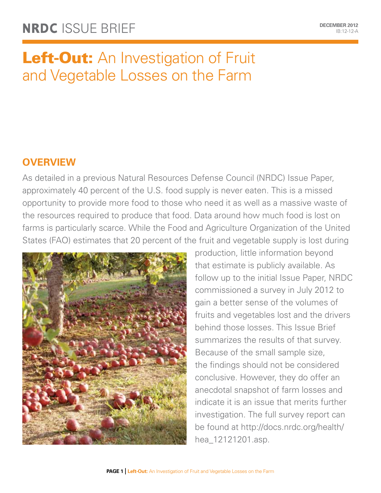# Left-Out: An Investigation of Fruit and Vegetable Losses on the Farm

# **Overview**

As detailed in a previous Natural Resources Defense Council (NRDC) [Issue Paper,](http://www.nrdc.org/food/wasted-food.asp) approximately 40 percent of the U.S. food supply is never eaten. This is a missed opportunity to provide more food to those who need it as well as a massive waste of the resources required to produce that food. Data around how much food is lost on farms is particularly scarce. While the Food and Agriculture Organization of the United States (FAO) estimates that 20 percent of the fruit and vegetable supply is lost during



production, little information beyond that estimate is publicly available. As follow up to the initial Issue Paper, NRDC commissioned a survey in July 2012 to gain a better sense of the volumes of fruits and vegetables lost and the drivers behind those losses. This Issue Brief summarizes the results of that survey. Because of the small sample size, the findings should not be considered conclusive. However, they do offer an anecdotal snapshot of farm losses and indicate it is an issue that merits further investigation. The full survey report can be found at [http://docs.nrdc.org/health/](http://docs.nrdc.org/health/hea_12121201.asp) [hea\\_12121201.asp.](http://docs.nrdc.org/health/hea_12121201.asp)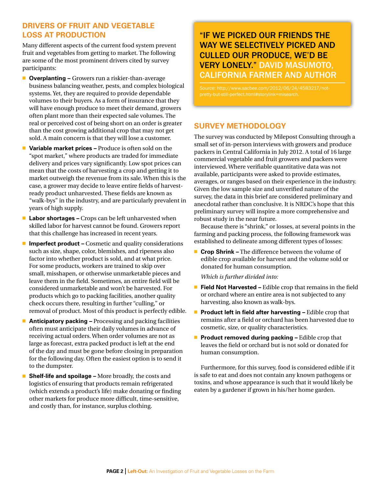## **Drivers of Fruit and Vegetable Loss at Production**

Many different aspects of the current food system prevent fruit and vegetables from getting to market. The following are some of the most prominent drivers cited by survey participants:

- **Diverplanting –** Growers run a riskier-than-average business balancing weather, pests, and complex biological systems. Yet, they are required to provide dependable volumes to their buyers. As a form of insurance that they will have enough produce to meet their demand, growers often plant more than their expected sale volumes. The real or perceived cost of being short on an order is greater than the cost growing additional crop that may not get sold. A main concern is that they will lose a customer.
- **Variable market prices –** Produce is often sold on the "spot market," where products are traded for immediate delivery and prices vary significantly. Low spot prices can mean that the costs of harvesting a crop and getting it to market outweigh the revenue from its sale. When this is the case, a grower may decide to leave entire fields of harvestready product unharvested. These fields are known as "walk-bys" in the industry, and are particularly prevalent in years of high supply.
- **Labor shortages –** Crops can be left unharvested when skilled labor for harvest cannot be found. Growers report that this challenge has increased in recent years.
- **Imperfect product –** Cosmetic and quality considerations such as size, shape, color, blemishes, and ripeness also factor into whether product is sold, and at what price. For some products, workers are trained to skip over small, misshapen, or otherwise unmarketable pieces and leave them in the field. Sometimes, an entire field will be considered unmarketable and won't be harvested. For products which go to packing facilities, another quality check occurs there, resulting in further "culling," or removal of product. Most of this product is perfectly edible.
- **Anticipatory packing –** Processing and packing facilities often must anticipate their daily volumes in advance of receiving actual orders. When order volumes are not as large as forecast, extra packed product is left at the end of the day and must be gone before closing in preparation for the following day. Often the easiest option is to send it to the dumpster.
- **Shelf-life and spoilage –** More broadly, the costs and logistics of ensuring that products remain refrigerated (which extends a product's life) make donating or finding other markets for produce more difficult, time-sensitive, and costly than, for instance, surplus clothing.

# "If we picked our friends the way we selectively picked and culled our produce, we'd be very lonely." David Masumoto, California Farmer and Author

*Source*: http://www.sacbee.com/2012/06/24/4583217/notpretty-but-still-perfect.html#storylink=misearch.

# **Survey Methodology**

The survey was conducted by Milepost Consulting through a small set of in-person interviews with growers and produce packers in Central California in July 2012. A total of 16 large commercial vegetable and fruit growers and packers were interviewed. Where verifiable quantitative data was not available, participants were asked to provide estimates, averages, or ranges based on their experience in the industry. Given the low sample size and unverified nature of the survey, the data in this brief are considered preliminary and anecdotal rather than conclusive. It is NRDC's hope that this preliminary survey will inspire a more comprehensive and robust study in the near future.

Because there is "shrink," or losses, at several points in the farming and packing process, the following framework was established to delineate among different types of losses:

**n** Crop Shrink – The difference between the volume of edible crop available for harvest and the volume sold or donated for human consumption.

*Which is further divided into:*

- **Field Not Harvested –** Edible crop that remains in the field or orchard where an entire area is not subjected to any harvesting, also known as walk-bys.
- **Product left in field after harvesting –** Edible crop that remains after a field or orchard has been harvested due to cosmetic, size, or quality characteristics.
- **Product removed during packing –** Edible crop that leaves the field or orchard but is not sold or donated for human consumption.

Furthermore, for this survey, food is considered edible if it is safe to eat and does not contain any known pathogens or toxins, and whose appearance is such that it would likely be eaten by a gardener if grown in his/her home garden.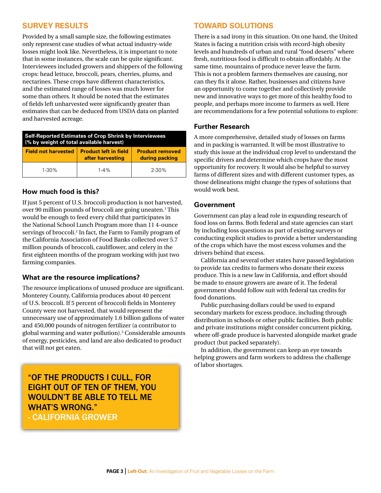## **Survey Results**

Provided by a small sample size, the following estimates only represent case studies of what actual industry-wide losses might look like. Nevertheless, it is important to note that in some instances, the scale can be quite significant. Interviewees included growers and shippers of the following crops: head lettuce, broccoli, pears, cherries, plums, and nectarines. These crops have different characteristics, and the estimated range of losses was much lower for some than others. It should be noted that the estimates of fields left unharvested were significantly greater than estimates that can be deduced from USDA data on planted and harvested acreage.

| <b>Self-Reported Estimates of Crop Shrink by Interviewees</b><br>(% by weight of total available harvest) |                                                  |                                          |
|-----------------------------------------------------------------------------------------------------------|--------------------------------------------------|------------------------------------------|
| <b>Field not harvested</b>                                                                                | <b>Product left in field</b><br>after harvesting | <b>Product removed</b><br>during packing |
| $1 - 30%$                                                                                                 | $1 - 4%$                                         | $2 - 30%$                                |

#### **How much food is this?**

If just 5 percent of U.S. broccoli production is not harvested, over 90 million pounds of broccoli are going uneaten.<sup>1</sup> This would be enough to feed every child that participates in the National School Lunch Program more than 11 4-ounce servings of broccoli.2 In fact, the Farm to Family program of the California Association of Food Banks collected over 5.7 million pounds of broccoli, cauliflower, and celery in the first eighteen months of the program working with just two farming companies.

#### **What are the resource implications?**

The resource implications of unused produce are significant. Monterey County, California produces about 40 percent of U.S. broccoli. If 5 percent of broccoli fields in Monterey County were not harvested, that would represent the unnecessary use of approximately 1.6 billion gallons of water and 450,000 pounds of nitrogen fertilizer (a contributor to global warming and water pollution).3 Considerable amounts of energy, pesticides, and land are also dedicated to product that will not get eaten.

"Of the products I cull, for eight out of ten of them, you wouldn't be able to tell me WHAT'S WRONG." - California Grower

### **Toward Solutions**

There is a sad irony in this situation. On one hand, the United States is facing a nutrition crisis with record-high obesity levels and hundreds of urban and rural "food deserts" where fresh, nutritious food is difficult to obtain affordably. At the same time, mountains of produce never leave the farm. This is not a problem farmers themselves are causing, nor can they fix it alone. Rather, businesses and citizens have an opportunity to come together and collectively provide new and innovative ways to get more of this healthy food to people, and perhaps more income to farmers as well. Here are recommendations for a few potential solutions to explore:

#### **Further Research**

A more comprehensive, detailed study of losses on farms and in packing is warranted. It will be most illustrative to study this issue at the individual crop level to understand the specific drivers and determine which crops have the most opportunity for recovery. It would also be helpful to survey farms of different sizes and with different customer types, as those delineations might change the types of solutions that would work best.

#### **Government**

Government can play a lead role in expanding research of food loss on farms. Both federal and state agencies can start by including loss questions as part of existing surveys or conducting explicit studies to provide a better understanding of the crops which have the most excess volumes and the drivers behind that excess.

California and several other states have passed legislation to provide tax credits to farmers who donate their excess produce. This is a new law in California, and effort should be made to ensure growers are aware of it. The federal government should follow suit with federal tax credits for food donations.

Public purchasing dollars could be used to expand secondary markets for excess produce, including through distribution in schools or other public facilities. Both public and private institutions might consider concurrent picking, where off-grade produce is harvested alongside market grade product (but packed separately).

In addition, the government can keep an eye towards helping growers and farm workers to address the challenge of labor shortages.